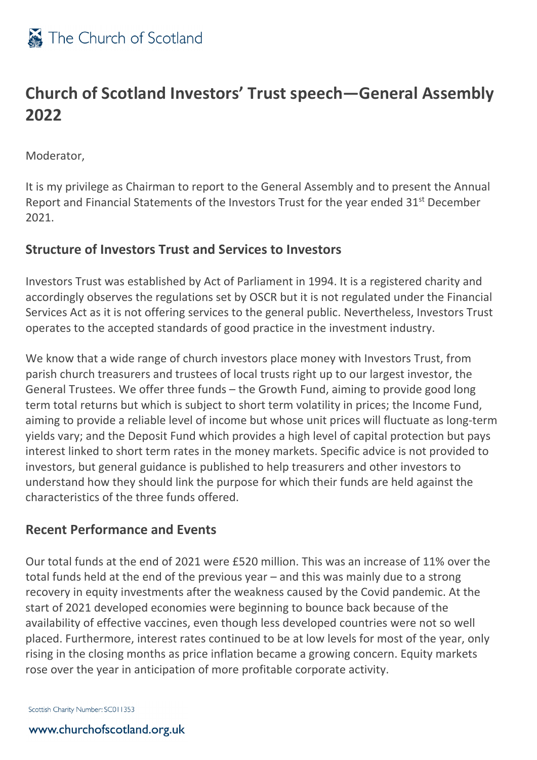

## **Church of Scotland Investors' Trust speech—General Assembly 2022**

Moderator,

It is my privilege as Chairman to report to the General Assembly and to present the Annual Report and Financial Statements of the Investors Trust for the year ended 31<sup>st</sup> December 2021.

### **Structure of Investors Trust and Services to Investors**

Investors Trust was established by Act of Parliament in 1994. It is a registered charity and accordingly observes the regulations set by OSCR but it is not regulated under the Financial Services Act as it is not offering services to the general public. Nevertheless, Investors Trust operates to the accepted standards of good practice in the investment industry.

We know that a wide range of church investors place money with Investors Trust, from parish church treasurers and trustees of local trusts right up to our largest investor, the General Trustees. We offer three funds – the Growth Fund, aiming to provide good long term total returns but which is subject to short term volatility in prices; the Income Fund, aiming to provide a reliable level of income but whose unit prices will fluctuate as long-term yields vary; and the Deposit Fund which provides a high level of capital protection but pays interest linked to short term rates in the money markets. Specific advice is not provided to investors, but general guidance is published to help treasurers and other investors to understand how they should link the purpose for which their funds are held against the characteristics of the three funds offered.

#### **Recent Performance and Events**

Our total funds at the end of 2021 were £520 million. This was an increase of 11% over the total funds held at the end of the previous year – and this was mainly due to a strong recovery in equity investments after the weakness caused by the Covid pandemic. At the start of 2021 developed economies were beginning to bounce back because of the availability of effective vaccines, even though less developed countries were not so well placed. Furthermore, interest rates continued to be at low levels for most of the year, only rising in the closing months as price inflation became a growing concern. Equity markets rose over the year in anticipation of more profitable corporate activity.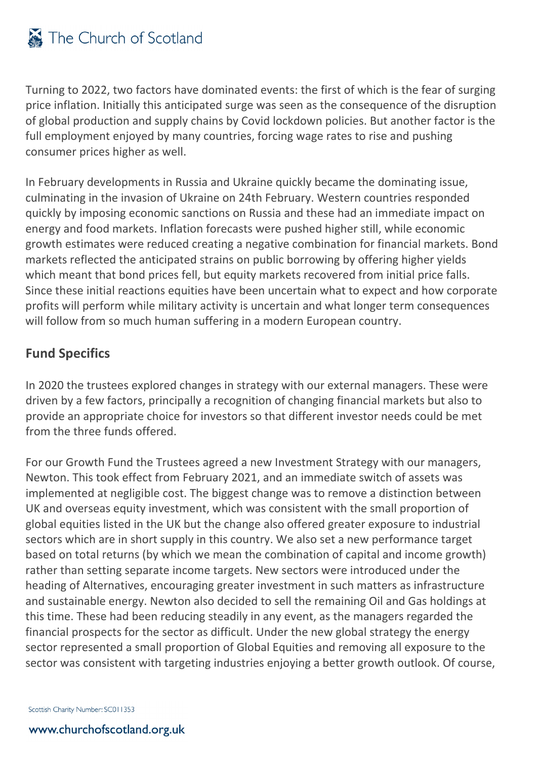Turning to 2022, two factors have dominated events: the first of which is the fear of surging price inflation. Initially this anticipated surge was seen as the consequence of the disruption of global production and supply chains by Covid lockdown policies. But another factor is the full employment enjoyed by many countries, forcing wage rates to rise and pushing consumer prices higher as well.

In February developments in Russia and Ukraine quickly became the dominating issue, culminating in the invasion of Ukraine on 24th February. Western countries responded quickly by imposing economic sanctions on Russia and these had an immediate impact on energy and food markets. Inflation forecasts were pushed higher still, while economic growth estimates were reduced creating a negative combination for financial markets. Bond markets reflected the anticipated strains on public borrowing by offering higher yields which meant that bond prices fell, but equity markets recovered from initial price falls. Since these initial reactions equities have been uncertain what to expect and how corporate profits will perform while military activity is uncertain and what longer term consequences will follow from so much human suffering in a modern European country.

### **Fund Specifics**

In 2020 the trustees explored changes in strategy with our external managers. These were driven by a few factors, principally a recognition of changing financial markets but also to provide an appropriate choice for investors so that different investor needs could be met from the three funds offered.

For our Growth Fund the Trustees agreed a new Investment Strategy with our managers, Newton. This took effect from February 2021, and an immediate switch of assets was implemented at negligible cost. The biggest change was to remove a distinction between UK and overseas equity investment, which was consistent with the small proportion of global equities listed in the UK but the change also offered greater exposure to industrial sectors which are in short supply in this country. We also set a new performance target based on total returns (by which we mean the combination of capital and income growth) rather than setting separate income targets. New sectors were introduced under the heading of Alternatives, encouraging greater investment in such matters as infrastructure and sustainable energy. Newton also decided to sell the remaining Oil and Gas holdings at this time. These had been reducing steadily in any event, as the managers regarded the financial prospects for the sector as difficult. Under the new global strategy the energy sector represented a small proportion of Global Equities and removing all exposure to the sector was consistent with targeting industries enjoying a better growth outlook. Of course,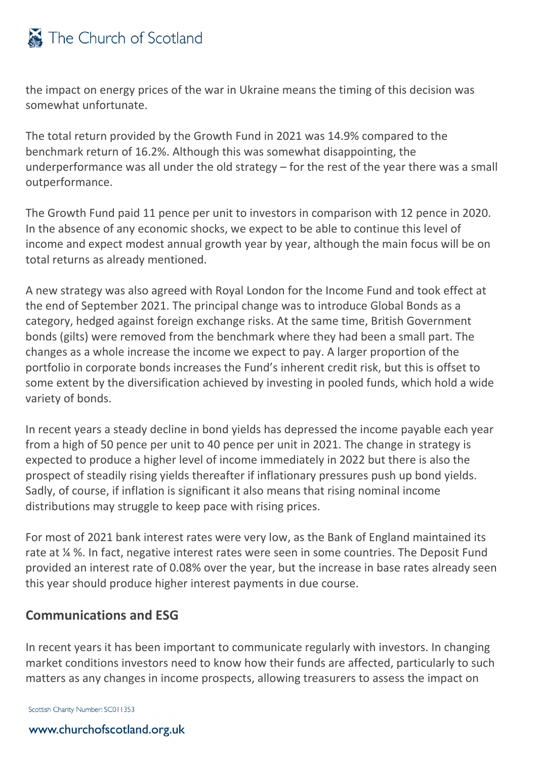the impact on energy prices of the war in Ukraine means the timing of this decision was somewhat unfortunate.

The total return provided by the Growth Fund in 2021 was 14.9% compared to the benchmark return of 16.2%. Although this was somewhat disappointing, the underperformance was all under the old strategy – for the rest of the year there was a small outperformance.

The Growth Fund paid 11 pence per unit to investors in comparison with 12 pence in 2020. In the absence of any economic shocks, we expect to be able to continue this level of income and expect modest annual growth year by year, although the main focus will be on total returns as already mentioned.

A new strategy was also agreed with Royal London for the Income Fund and took effect at the end of September 2021. The principal change was to introduce Global Bonds as a category, hedged against foreign exchange risks. At the same time, British Government bonds (gilts) were removed from the benchmark where they had been a small part. The changes as a whole increase the income we expect to pay. A larger proportion of the portfolio in corporate bonds increases the Fund's inherent credit risk, but this is offset to some extent by the diversification achieved by investing in pooled funds, which hold a wide variety of bonds.

In recent years a steady decline in bond yields has depressed the income payable each year from a high of 50 pence per unit to 40 pence per unit in 2021. The change in strategy is expected to produce a higher level of income immediately in 2022 but there is also the prospect of steadily rising yields thereafter if inflationary pressures push up bond yields. Sadly, of course, if inflation is significant it also means that rising nominal income distributions may struggle to keep pace with rising prices.

For most of 2021 bank interest rates were very low, as the Bank of England maintained its rate at ¼ %. In fact, negative interest rates were seen in some countries. The Deposit Fund provided an interest rate of 0.08% over the year, but the increase in base rates already seen this year should produce higher interest payments in due course.

### **Communications and ESG**

In recent years it has been important to communicate regularly with investors. In changing market conditions investors need to know how their funds are affected, particularly to such matters as any changes in income prospects, allowing treasurers to assess the impact on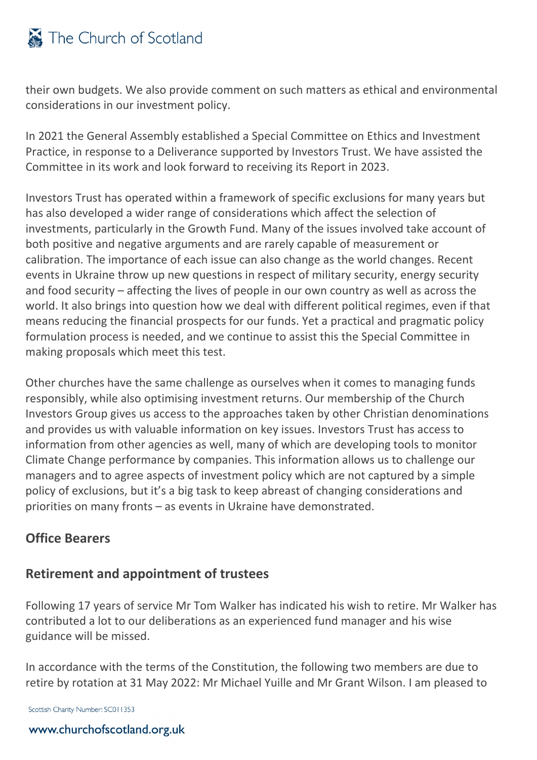# The Church of Scotland

their own budgets. We also provide comment on such matters as ethical and environmental considerations in our investment policy.

In 2021 the General Assembly established a Special Committee on Ethics and Investment Practice, in response to a Deliverance supported by Investors Trust. We have assisted the Committee in its work and look forward to receiving its Report in 2023.

Investors Trust has operated within a framework of specific exclusions for many years but has also developed a wider range of considerations which affect the selection of investments, particularly in the Growth Fund. Many of the issues involved take account of both positive and negative arguments and are rarely capable of measurement or calibration. The importance of each issue can also change as the world changes. Recent events in Ukraine throw up new questions in respect of military security, energy security and food security – affecting the lives of people in our own country as well as across the world. It also brings into question how we deal with different political regimes, even if that means reducing the financial prospects for our funds. Yet a practical and pragmatic policy formulation process is needed, and we continue to assist this the Special Committee in making proposals which meet this test.

Other churches have the same challenge as ourselves when it comes to managing funds responsibly, while also optimising investment returns. Our membership of the Church Investors Group gives us access to the approaches taken by other Christian denominations and provides us with valuable information on key issues. Investors Trust has access to information from other agencies as well, many of which are developing tools to monitor Climate Change performance by companies. This information allows us to challenge our managers and to agree aspects of investment policy which are not captured by a simple policy of exclusions, but it's a big task to keep abreast of changing considerations and priorities on many fronts – as events in Ukraine have demonstrated.

### **Office Bearers**

#### **Retirement and appointment of trustees**

Following 17 years of service Mr Tom Walker has indicated his wish to retire. Mr Walker has contributed a lot to our deliberations as an experienced fund manager and his wise guidance will be missed.

In accordance with the terms of the Constitution, the following two members are due to retire by rotation at 31 May 2022: Mr Michael Yuille and Mr Grant Wilson. I am pleased to